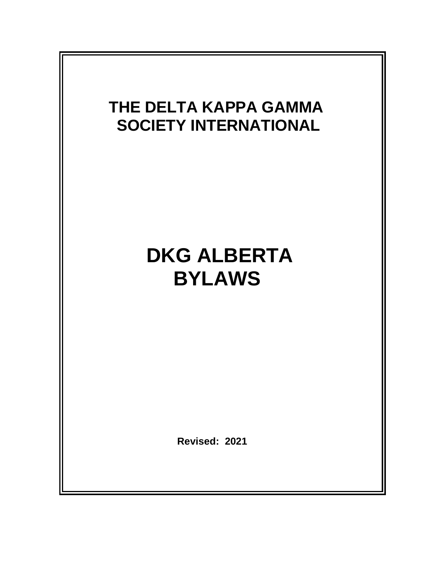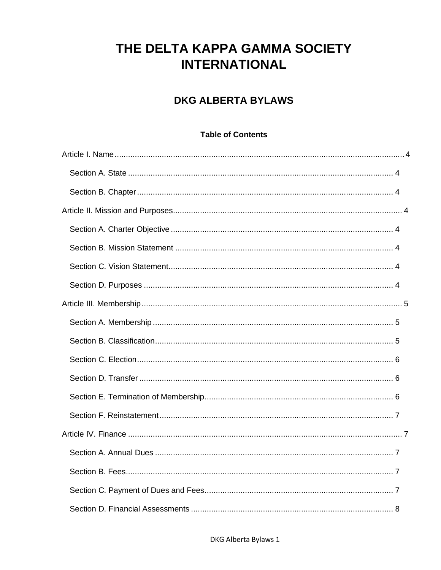# THE DELTA KAPPA GAMMA SOCIETY **INTERNATIONAL**

### **DKG ALBERTA BYLAWS**

#### **Table of Contents**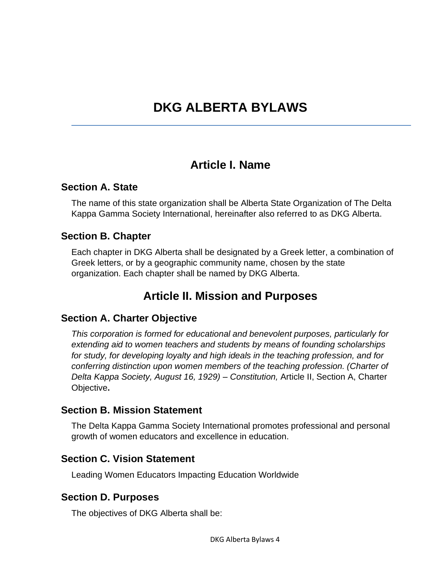# **DKG ALBERTA BYLAWS**

### **Article I. Name**

#### <span id="page-4-1"></span><span id="page-4-0"></span>**Section A. State**

The name of this state organization shall be Alberta State Organization of The Delta Kappa Gamma Society International, hereinafter also referred to as DKG Alberta.

#### <span id="page-4-2"></span>**Section B. Chapter**

<span id="page-4-3"></span>Each chapter in DKG Alberta shall be designated by a Greek letter, a combination of Greek letters, or by a geographic community name, chosen by the state organization. Each chapter shall be named by DKG Alberta.

### **Article II. Mission and Purposes**

#### <span id="page-4-4"></span>**Section A. Charter Objective**

*This corporation is formed for educational and benevolent purposes, particularly for extending aid to women teachers and students by means of founding scholarships for study, for developing loyalty and high ideals in the teaching profession, and for conferring distinction upon women members of the teaching profession. (Charter of Delta Kappa Society, August 16, 1929) – Constitution,* Article II, Section A, Charter Objective**.**

#### <span id="page-4-5"></span>**Section B. Mission Statement**

The Delta Kappa Gamma Society International promotes professional and personal growth of women educators and excellence in education.

#### <span id="page-4-6"></span>**Section C. Vision Statement**

Leading Women Educators Impacting Education Worldwide

#### <span id="page-4-7"></span>**Section D. Purposes**

The objectives of DKG Alberta shall be: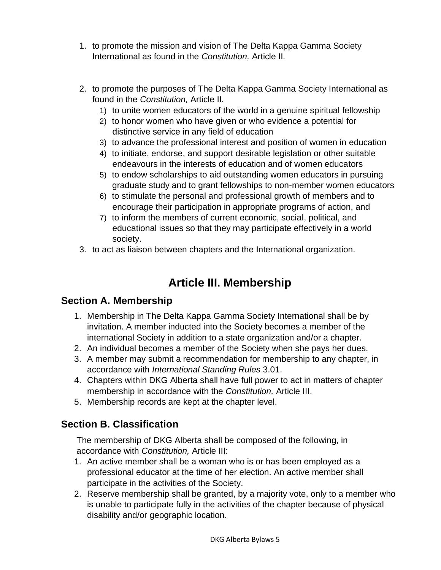- 1. to promote the mission and vision of The Delta Kappa Gamma Society International as found in the *Constitution,* Article II*.*
- 2. to promote the purposes of The Delta Kappa Gamma Society International as found in the *Constitution,* Article II*.*
	- 1) to unite women educators of the world in a genuine spiritual fellowship
	- 2) to honor women who have given or who evidence a potential for distinctive service in any field of education
	- 3) to advance the professional interest and position of women in education
	- 4) to initiate, endorse, and support desirable legislation or other suitable endeavours in the interests of education and of women educators
	- 5) to endow scholarships to aid outstanding women educators in pursuing graduate study and to grant fellowships to non-member women educators
	- 6) to stimulate the personal and professional growth of members and to encourage their participation in appropriate programs of action, and
	- 7) to inform the members of current economic, social, political, and educational issues so that they may participate effectively in a world society.
- <span id="page-5-0"></span>3. to act as liaison between chapters and the International organization.

## **Article III. Membership**

#### <span id="page-5-1"></span>**Section A. Membership**

- 1. Membership in The Delta Kappa Gamma Society International shall be by invitation. A member inducted into the Society becomes a member of the international Society in addition to a state organization and/or a chapter.
- 2. An individual becomes a member of the Society when she pays her dues.
- 3. A member may submit a recommendation for membership to any chapter, in accordance with *International Standing Rules* 3.01.
- 4. Chapters within DKG Alberta shall have full power to act in matters of chapter membership in accordance with the *Constitution,* Article III.
- 5. Membership records are kept at the chapter level.

#### <span id="page-5-2"></span>**Section B. Classification**

The membership of DKG Alberta shall be composed of the following, in accordance with *Constitution,* Article III:

- 1. An active member shall be a woman who is or has been employed as a professional educator at the time of her election. An active member shall participate in the activities of the Society.
- 2. Reserve membership shall be granted, by a majority vote, only to a member who is unable to participate fully in the activities of the chapter because of physical disability and/or geographic location.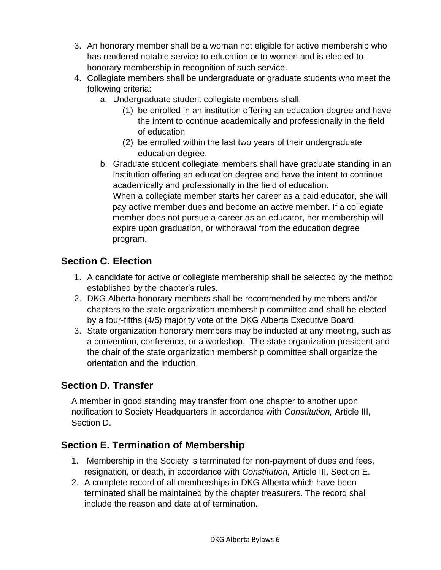- 3. An honorary member shall be a woman not eligible for active membership who has rendered notable service to education or to women and is elected to honorary membership in recognition of such service.
- 4. Collegiate members shall be undergraduate or graduate students who meet the following criteria:
	- a. Undergraduate student collegiate members shall:
		- (1) be enrolled in an institution offering an education degree and have the intent to continue academically and professionally in the field of education
		- (2) be enrolled within the last two years of their undergraduate education degree.
	- b. Graduate student collegiate members shall have graduate standing in an institution offering an education degree and have the intent to continue academically and professionally in the field of education. When a collegiate member starts her career as a paid educator, she will pay active member dues and become an active member. If a collegiate member does not pursue a career as an educator, her membership will expire upon graduation, or withdrawal from the education degree program.

#### <span id="page-6-0"></span>**Section C. Election**

- 1. A candidate for active or collegiate membership shall be selected by the method established by the chapter's rules.
- 2. DKG Alberta honorary members shall be recommended by members and/or chapters to the state organization membership committee and shall be elected by a four-fifths (4/5) majority vote of the DKG Alberta Executive Board.
- 3. State organization honorary members may be inducted at any meeting, such as a convention, conference, or a workshop. The state organization president and the chair of the state organization membership committee shall organize the orientation and the induction.

#### <span id="page-6-1"></span>**Section D. Transfer**

A member in good standing may transfer from one chapter to another upon notification to Society Headquarters in accordance with *Constitution,* Article III, Section D.

### <span id="page-6-2"></span>**Section E. Termination of Membership**

- 1. Membership in the Society is terminated for non-payment of dues and fees, resignation, or death, in accordance with *Constitution,* Article III, Section E.
- 2. A complete record of all memberships in DKG Alberta which have been terminated shall be maintained by the chapter treasurers. The record shall include the reason and date at of termination.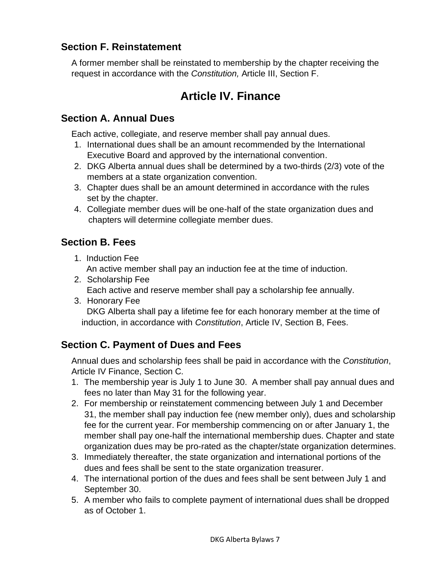#### <span id="page-7-0"></span>**Section F. Reinstatement**

<span id="page-7-1"></span>A former member shall be reinstated to membership by the chapter receiving the request in accordance with the *Constitution,* Article III, Section F.

## **Article IV. Finance**

#### <span id="page-7-2"></span>**Section A. Annual Dues**

Each active, collegiate, and reserve member shall pay annual dues.

- 1. International dues shall be an amount recommended by the International Executive Board and approved by the international convention.
- 2. DKG Alberta annual dues shall be determined by a two-thirds (2/3) vote of the members at a state organization convention.
- 3. Chapter dues shall be an amount determined in accordance with the rules set by the chapter.
- 4. Collegiate member dues will be one-half of the state organization dues and chapters will determine collegiate member dues.

#### <span id="page-7-3"></span>**Section B. Fees**

- 1. Induction Fee An active member shall pay an induction fee at the time of induction.
- 2. Scholarship Fee Each active and reserve member shall pay a scholarship fee annually.
- 3. Honorary Fee DKG Alberta shall pay a lifetime fee for each honorary member at the time of induction, in accordance with *Constitution*, Article IV, Section B, Fees.

### <span id="page-7-4"></span>**Section C. Payment of Dues and Fees**

Annual dues and scholarship fees shall be paid in accordance with the *Constitution*, Article IV Finance, Section C*.* 

- 1. The membership year is July 1 to June 30. A member shall pay annual dues and fees no later than May 31 for the following year.
- 2. For membership or reinstatement commencing between July 1 and December 31, the member shall pay induction fee (new member only), dues and scholarship fee for the current year. For membership commencing on or after January 1, the member shall pay one-half the international membership dues. Chapter and state organization dues may be pro-rated as the chapter/state organization determines.
- 3. Immediately thereafter, the state organization and international portions of the dues and fees shall be sent to the state organization treasurer.
- 4. The international portion of the dues and fees shall be sent between July 1 and September 30.
- 5. A member who fails to complete payment of international dues shall be dropped as of October 1.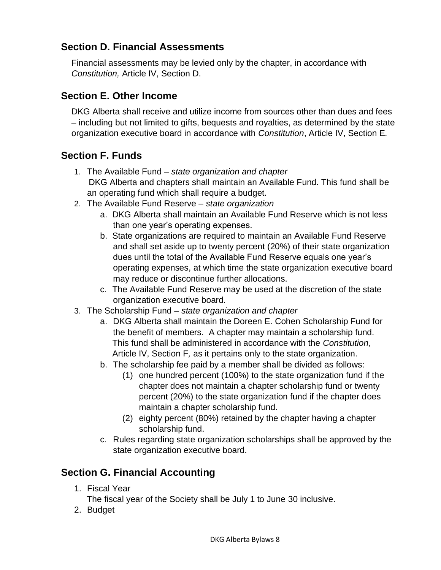#### <span id="page-8-0"></span>**Section D. Financial Assessments**

Financial assessments may be levied only by the chapter, in accordance with *Constitution,* Article IV, Section D.

#### <span id="page-8-1"></span>**Section E. Other Income**

DKG Alberta shall receive and utilize income from sources other than dues and fees – including but not limited to gifts, bequests and royalties, as determined by the state organization executive board in accordance with *Constitution*, Article IV, Section E*.* 

### <span id="page-8-2"></span>**Section F. Funds**

- 1. The Available Fund *state organization and chapter* DKG Alberta and chapters shall maintain an Available Fund. This fund shall be an operating fund which shall require a budget.
- 2. The Available Fund Reserve *state organization*
	- a. DKG Alberta shall maintain an Available Fund Reserve which is not less than one year's operating expenses.
	- b. State organizations are required to maintain an Available Fund Reserve and shall set aside up to twenty percent (20%) of their state organization dues until the total of the Available Fund Reserve equals one year's operating expenses, at which time the state organization executive board may reduce or discontinue further allocations.
	- c. The Available Fund Reserve may be used at the discretion of the state organization executive board.
- 3. The Scholarship Fund *state organization and chapter*
	- a. DKG Alberta shall maintain the Doreen E. Cohen Scholarship Fund for the benefit of members. A chapter may maintain a scholarship fund. This fund shall be administered in accordance with the *Constitution*, Article IV, Section F*,* as it pertains only to the state organization.
	- b. The scholarship fee paid by a member shall be divided as follows:
		- (1) one hundred percent (100%) to the state organization fund if the chapter does not maintain a chapter scholarship fund or twenty percent (20%) to the state organization fund if the chapter does maintain a chapter scholarship fund.
		- (2) eighty percent (80%) retained by the chapter having a chapter scholarship fund.
	- c. Rules regarding state organization scholarships shall be approved by the state organization executive board.

### <span id="page-8-3"></span>**Section G. Financial Accounting**

1. Fiscal Year

The fiscal year of the Society shall be July 1 to June 30 inclusive.

2. Budget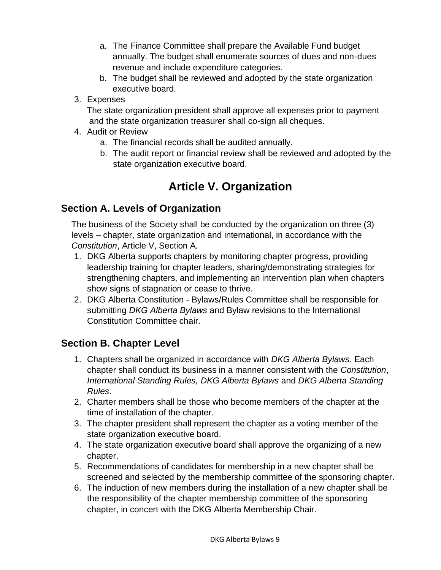- a. The Finance Committee shall prepare the Available Fund budget annually. The budget shall enumerate sources of dues and non-dues revenue and include expenditure categories.
- b. The budget shall be reviewed and adopted by the state organization executive board.
- 3. Expenses

The state organization president shall approve all expenses prior to payment and the state organization treasurer shall co-sign all cheques.

- 4. Audit or Review
	- a. The financial records shall be audited annually.
	- b. The audit report or financial review shall be reviewed and adopted by the state organization executive board.

## **Article V. Organization**

#### <span id="page-9-1"></span><span id="page-9-0"></span>**Section A. Levels of Organization**

The business of the Society shall be conducted by the organization on three (3) levels – chapter, state organization and international, in accordance with the *Constitution*, Article V, Section A*.* 

- 1. DKG Alberta supports chapters by monitoring chapter progress, providing leadership training for chapter leaders, sharing/demonstrating strategies for strengthening chapters, and implementing an intervention plan when chapters show signs of stagnation or cease to thrive.
- 2. DKG Alberta Constitution Bylaws/Rules Committee shall be responsible for submitting *DKG Alberta Bylaws* and Bylaw revisions to the International Constitution Committee chair.

#### <span id="page-9-2"></span>**Section B. Chapter Level**

- 1. Chapters shall be organized in accordance with *DKG Alberta Bylaws.* Each chapter shall conduct its business in a manner consistent with the *Constitution*, *International Standing Rules, DKG Alberta Bylaws* and *DKG Alberta Standing Rules*.
- 2. Charter members shall be those who become members of the chapter at the time of installation of the chapter.
- 3. The chapter president shall represent the chapter as a voting member of the state organization executive board.
- 4. The state organization executive board shall approve the organizing of a new chapter.
- 5. Recommendations of candidates for membership in a new chapter shall be screened and selected by the membership committee of the sponsoring chapter.
- 6. The induction of new members during the installation of a new chapter shall be the responsibility of the chapter membership committee of the sponsoring chapter, in concert with the DKG Alberta Membership Chair.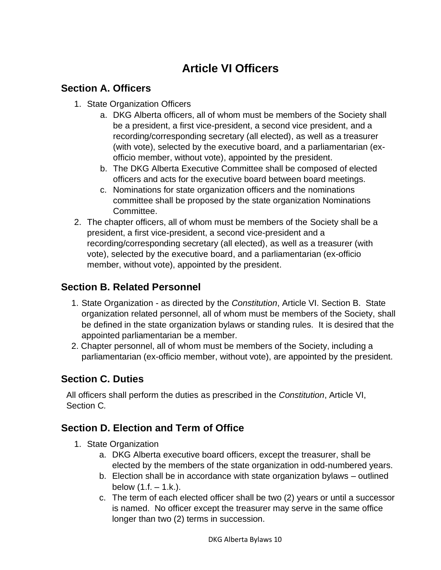# **Article VI Officers**

#### <span id="page-10-1"></span><span id="page-10-0"></span>**Section A. Officers**

- 1. State Organization Officers
	- a. DKG Alberta officers, all of whom must be members of the Society shall be a president, a first vice-president, a second vice president, and a recording/corresponding secretary (all elected), as well as a treasurer (with vote), selected by the executive board, and a parliamentarian (exofficio member, without vote), appointed by the president.
	- b. The DKG Alberta Executive Committee shall be composed of elected officers and acts for the executive board between board meetings.
	- c. Nominations for state organization officers and the nominations committee shall be proposed by the state organization Nominations Committee.
- 2. The chapter officers, all of whom must be members of the Society shall be a president, a first vice-president, a second vice-president and a recording/corresponding secretary (all elected), as well as a treasurer (with vote), selected by the executive board, and a parliamentarian (ex-officio member, without vote), appointed by the president.

#### <span id="page-10-2"></span>**Section B. Related Personnel**

- 1. State Organization as directed by the *Constitution*, Article VI. Section B. State organization related personnel, all of whom must be members of the Society, shall be defined in the state organization bylaws or standing rules. It is desired that the appointed parliamentarian be a member.
- 2. Chapter personnel, all of whom must be members of the Society, including a parliamentarian (ex-officio member, without vote), are appointed by the president.

#### <span id="page-10-3"></span>**Section C. Duties**

All officers shall perform the duties as prescribed in the *Constitution*, Article VI, Section C*.*

#### <span id="page-10-4"></span>**Section D. Election and Term of Office**

- 1. State Organization
	- a. DKG Alberta executive board officers, except the treasurer, shall be elected by the members of the state organization in odd-numbered years.
	- b. Election shall be in accordance with state organization bylaws outlined below  $(1.f. - 1.k.).$
	- c. The term of each elected officer shall be two (2) years or until a successor is named. No officer except the treasurer may serve in the same office longer than two (2) terms in succession.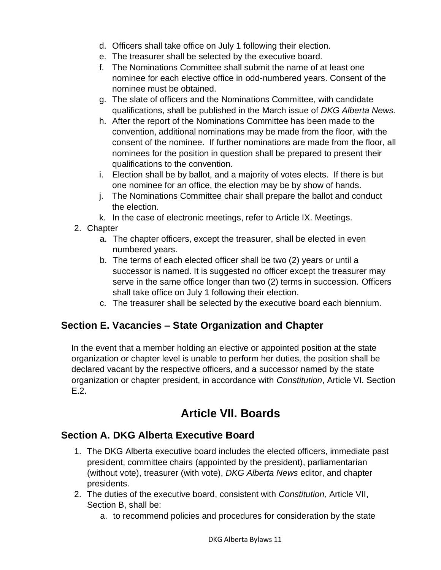- d. Officers shall take office on July 1 following their election.
- e. The treasurer shall be selected by the executive board.
- f. The Nominations Committee shall submit the name of at least one nominee for each elective office in odd-numbered years. Consent of the nominee must be obtained.
- g. The slate of officers and the Nominations Committee, with candidate qualifications, shall be published in the March issue of *DKG Alberta News.*
- h. After the report of the Nominations Committee has been made to the convention, additional nominations may be made from the floor, with the consent of the nominee. If further nominations are made from the floor, all nominees for the position in question shall be prepared to present their qualifications to the convention.
- i. Election shall be by ballot, and a majority of votes elects. If there is but one nominee for an office, the election may be by show of hands.
- j. The Nominations Committee chair shall prepare the ballot and conduct the election.
- k. In the case of electronic meetings, refer to Article IX. Meetings.
- 2. Chapter
	- a. The chapter officers, except the treasurer, shall be elected in even numbered years.
	- b. The terms of each elected officer shall be two (2) years or until a successor is named. It is suggested no officer except the treasurer may serve in the same office longer than two (2) terms in succession. Officers shall take office on July 1 following their election.
	- c. The treasurer shall be selected by the executive board each biennium.

#### <span id="page-11-0"></span>**Section E. Vacancies – State Organization and Chapter**

In the event that a member holding an elective or appointed position at the state organization or chapter level is unable to perform her duties, the position shall be declared vacant by the respective officers, and a successor named by the state organization or chapter president, in accordance with *Constitution*, Article VI. Section E.2.

## **Article VII. Boards**

#### <span id="page-11-2"></span><span id="page-11-1"></span>**Section A. DKG Alberta Executive Board**

- 1. The DKG Alberta executive board includes the elected officers, immediate past president, committee chairs (appointed by the president), parliamentarian (without vote), treasurer (with vote), *DKG Alberta News* editor, and chapter presidents.
- 2. The duties of the executive board, consistent with *Constitution,* Article VII, Section B, shall be:
	- a. to recommend policies and procedures for consideration by the state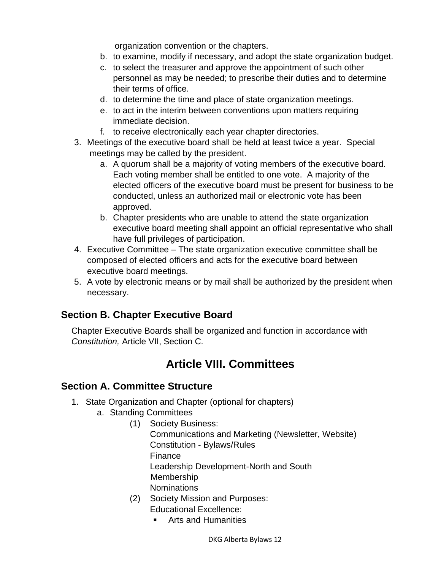organization convention or the chapters.

- b. to examine, modify if necessary, and adopt the state organization budget.
- c. to select the treasurer and approve the appointment of such other personnel as may be needed; to prescribe their duties and to determine their terms of office.
- d. to determine the time and place of state organization meetings.
- e. to act in the interim between conventions upon matters requiring immediate decision.
- f. to receive electronically each year chapter directories.
- 3. Meetings of the executive board shall be held at least twice a year. Special meetings may be called by the president.
	- a. A quorum shall be a majority of voting members of the executive board. Each voting member shall be entitled to one vote. A majority of the elected officers of the executive board must be present for business to be conducted, unless an authorized mail or electronic vote has been approved.
	- b. Chapter presidents who are unable to attend the state organization executive board meeting shall appoint an official representative who shall have full privileges of participation.
- 4. Executive Committee The state organization executive committee shall be composed of elected officers and acts for the executive board between executive board meetings.
- 5. A vote by electronic means or by mail shall be authorized by the president when necessary.

#### <span id="page-12-0"></span>**Section B. Chapter Executive Board**

<span id="page-12-1"></span>Chapter Executive Boards shall be organized and function in accordance with *Constitution,* Article VII, Section C*.* 

## **Article VIII. Committees**

#### <span id="page-12-2"></span>**Section A. Committee Structure**

- 1. State Organization and Chapter (optional for chapters)
	- a. Standing Committees
		- (1) Society Business:
			- Communications and Marketing (Newsletter, Website) Constitution - Bylaws/Rules Finance Leadership Development-North and South Membership
			- **Nominations**
		- (2) Society Mission and Purposes: Educational Excellence:
			- Arts and Humanities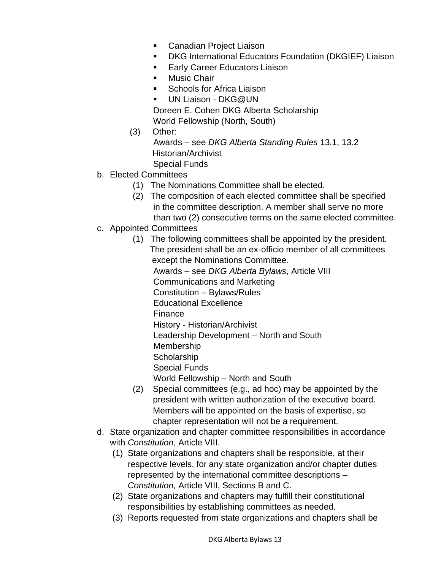- Canadian Project Liaison
- DKG International Educators Foundation (DKGIEF) Liaison
- **Early Career Educators Liaison**
- Music Chair
- Schools for Africa Liaison
- UN Liaison DKG@UN Doreen E. Cohen DKG Alberta Scholarship
- World Fellowship (North, South)
- (3) Other:
	- Awards see *DKG Alberta Standing Rules* 13.1, 13.2 Historian/Archivist Special Funds
- b. Elected Committees
	- (1) The Nominations Committee shall be elected.
	- (2) The composition of each elected committee shall be specified in the committee description. A member shall serve no more than two (2) consecutive terms on the same elected committee.
- c. Appointed Committees
	- (1) The following committees shall be appointed by the president. The president shall be an ex-officio member of all committees except the Nominations Committee. Awards – see *DKG Alberta Bylaws*, Article VIII Communications and Marketing Constitution – Bylaws/Rules Educational Excellence Finance History - Historian/Archivist Leadership Development – North and South Membership **Scholarship** Special Funds World Fellowship – North and South (2) Special committees (e.g., ad hoc) may be appointed by the
	- president with written authorization of the executive board. Members will be appointed on the basis of expertise, so chapter representation will not be a requirement.
- d. State organization and chapter committee responsibilities in accordance with *Constitution*, Article VIII.
	- (1) State organizations and chapters shall be responsible, at their respective levels, for any state organization and/or chapter duties represented by the international committee descriptions – *Constitution,* Article VIII, Sections B and C.
	- (2) State organizations and chapters may fulfill their constitutional responsibilities by establishing committees as needed.
	- (3) Reports requested from state organizations and chapters shall be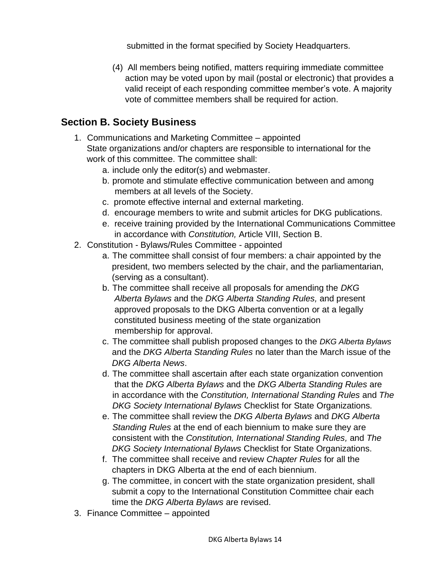submitted in the format specified by Society Headquarters.

(4) All members being notified, matters requiring immediate committee action may be voted upon by mail (postal or electronic) that provides a valid receipt of each responding committee member's vote. A majority vote of committee members shall be required for action.

#### <span id="page-14-0"></span>**Section B. Society Business**

- 1. Communications and Marketing Committee appointed State organizations and/or chapters are responsible to international for the work of this committee. The committee shall:
	- a. include only the editor(s) and webmaster.
	- b. promote and stimulate effective communication between and among members at all levels of the Society.
	- c. promote effective internal and external marketing.
	- d. encourage members to write and submit articles for DKG publications.
	- e. receive training provided by the International Communications Committee in accordance with *Constitution,* Article VIII, Section B.
- 2. Constitution Bylaws/Rules Committee appointed
	- a. The committee shall consist of four members: a chair appointed by the president, two members selected by the chair, and the parliamentarian, (serving as a consultant).
	- b. The committee shall receive all proposals for amending the *DKG Alberta Bylaws* and the *DKG Alberta Standing Rules,* and present approved proposals to the DKG Alberta convention or at a legally constituted business meeting of the state organization membership for approval.
	- c. The committee shall publish proposed changes to the *DKG Alberta Bylaws* and the *DKG Alberta Standing Rules* no later than the March issue of the  *DKG Alberta News*.
	- d. The committee shall ascertain after each state organization convention that the *DKG Alberta Bylaws* and the *DKG Alberta Standing Rules* are in accordance with the *Constitution, International Standing Rules* and *The DKG Society International Bylaws* Checklist for State Organizations.
	- e. The committee shall review the *DKG Alberta Bylaws* and *DKG Alberta Standing Rules* at the end of each biennium to make sure they are consistent with the *Constitution, International Standing Rules,* and *The DKG Society International Bylaws* Checklist for State Organizations.
	- f. The committee shall receive and review *Chapter Rules* for all the chapters in DKG Alberta at the end of each biennium.
	- g. The committee, in concert with the state organization president, shall submit a copy to the International Constitution Committee chair each time the *DKG Alberta Bylaws* are revised.
- 3. Finance Committee appointed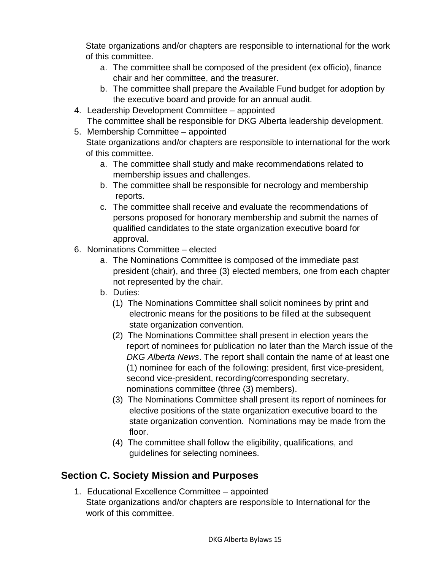State organizations and/or chapters are responsible to international for the work of this committee.

- a. The committee shall be composed of the president (ex officio), finance chair and her committee, and the treasurer.
- b. The committee shall prepare the Available Fund budget for adoption by the executive board and provide for an annual audit.
- 4. Leadership Development Committee appointed The committee shall be responsible for DKG Alberta leadership development.
- 5. Membership Committee appointed State organizations and/or chapters are responsible to international for the work of this committee.
	- a. The committee shall study and make recommendations related to membership issues and challenges.
	- b. The committee shall be responsible for necrology and membership reports.
	- c. The committee shall receive and evaluate the recommendations of persons proposed for honorary membership and submit the names of qualified candidates to the state organization executive board for approval.
- 6. Nominations Committee elected
	- a. The Nominations Committee is composed of the immediate past president (chair), and three (3) elected members, one from each chapter not represented by the chair.
	- b. Duties:
		- (1) The Nominations Committee shall solicit nominees by print and electronic means for the positions to be filled at the subsequent state organization convention.
		- (2) The Nominations Committee shall present in election years the report of nominees for publication no later than the March issue of the *DKG Alberta News*. The report shall contain the name of at least one (1) nominee for each of the following: president, first vice-president, second vice-president, recording/corresponding secretary, nominations committee (three (3) members).
		- (3) The Nominations Committee shall present its report of nominees for elective positions of the state organization executive board to the state organization convention. Nominations may be made from the floor.
		- (4) The committee shall follow the eligibility, qualifications, and guidelines for selecting nominees.

### <span id="page-15-0"></span>**Section C. Society Mission and Purposes**

1. Educational Excellence Committee – appointed State organizations and/or chapters are responsible to International for the work of this committee.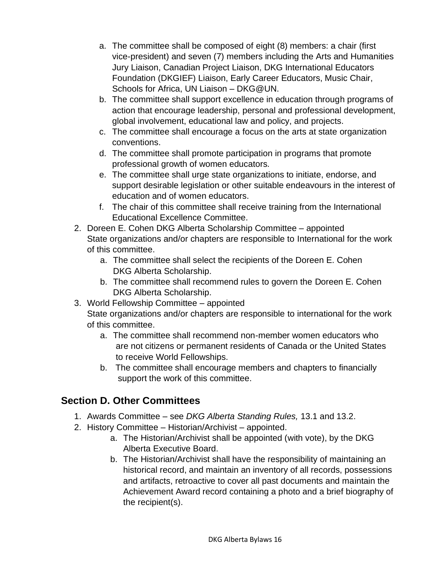- a. The committee shall be composed of eight (8) members: a chair (first vice-president) and seven (7) members including the Arts and Humanities Jury Liaison, Canadian Project Liaison, DKG International Educators Foundation (DKGIEF) Liaison, Early Career Educators, Music Chair, Schools for Africa, UN Liaison – DKG@UN.
- b. The committee shall support excellence in education through programs of action that encourage leadership, personal and professional development, global involvement, educational law and policy, and projects.
- c. The committee shall encourage a focus on the arts at state organization conventions.
- d. The committee shall promote participation in programs that promote professional growth of women educators.
- e. The committee shall urge state organizations to initiate, endorse, and support desirable legislation or other suitable endeavours in the interest of education and of women educators.
- f. The chair of this committee shall receive training from the International Educational Excellence Committee.
- 2. Doreen E. Cohen DKG Alberta Scholarship Committee appointed State organizations and/or chapters are responsible to International for the work of this committee.
	- a. The committee shall select the recipients of the Doreen E. Cohen DKG Alberta Scholarship.
	- b. The committee shall recommend rules to govern the Doreen E. Cohen DKG Alberta Scholarship.
- 3. World Fellowship Committee appointed State organizations and/or chapters are responsible to international for the work of this committee.
	- a. The committee shall recommend non-member women educators who are not citizens or permanent residents of Canada or the United States to receive World Fellowships.
	- b. The committee shall encourage members and chapters to financially support the work of this committee.

### <span id="page-16-0"></span>**Section D. Other Committees**

- 1. Awards Committee see *DKG Alberta Standing Rules,* 13.1 and 13.2.
- 2. History Committee Historian/Archivist appointed.
	- a. The Historian/Archivist shall be appointed (with vote), by the DKG Alberta Executive Board.
	- b. The Historian/Archivist shall have the responsibility of maintaining an historical record, and maintain an inventory of all records, possessions and artifacts, retroactive to cover all past documents and maintain the Achievement Award record containing a photo and a brief biography of the recipient(s).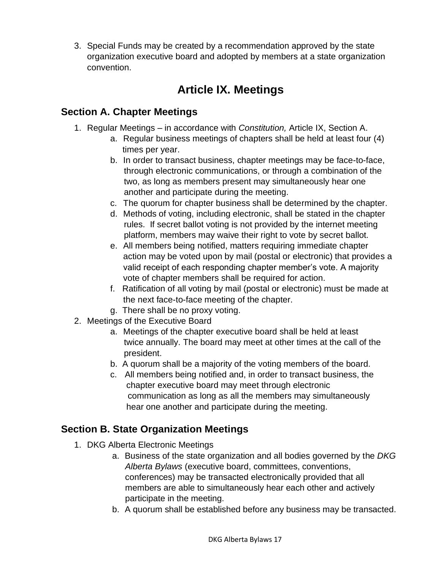3. Special Funds may be created by a recommendation approved by the state organization executive board and adopted by members at a state organization convention.

## **Article IX. Meetings**

#### <span id="page-17-1"></span><span id="page-17-0"></span>**Section A. Chapter Meetings**

- 1. Regular Meetings in accordance with *Constitution,* Article IX, Section A.
	- a. Regular business meetings of chapters shall be held at least four (4) times per year.
	- b. In order to transact business, chapter meetings may be face-to-face, through electronic communications, or through a combination of the two, as long as members present may simultaneously hear one another and participate during the meeting.
	- c. The quorum for chapter business shall be determined by the chapter.
	- d. Methods of voting, including electronic, shall be stated in the chapter rules. If secret ballot voting is not provided by the internet meeting platform, members may waive their right to vote by secret ballot.
	- e. All members being notified, matters requiring immediate chapter action may be voted upon by mail (postal or electronic) that provides a valid receipt of each responding chapter member's vote. A majority vote of chapter members shall be required for action.
	- f. Ratification of all voting by mail (postal or electronic) must be made at the next face-to-face meeting of the chapter.
	- g. There shall be no proxy voting.
- 2. Meetings of the Executive Board
	- a. Meetings of the chapter executive board shall be held at least twice annually. The board may meet at other times at the call of the president.
	- b. A quorum shall be a majority of the voting members of the board.
	- c. All members being notified and, in order to transact business, the chapter executive board may meet through electronic communication as long as all the members may simultaneously hear one another and participate during the meeting.

#### <span id="page-17-2"></span>**Section B. State Organization Meetings**

- 1. DKG Alberta Electronic Meetings
	- a. Business of the state organization and all bodies governed by the *DKG Alberta Bylaws* (executive board, committees, conventions, conferences) may be transacted electronically provided that all members are able to simultaneously hear each other and actively participate in the meeting.
	- b. A quorum shall be established before any business may be transacted.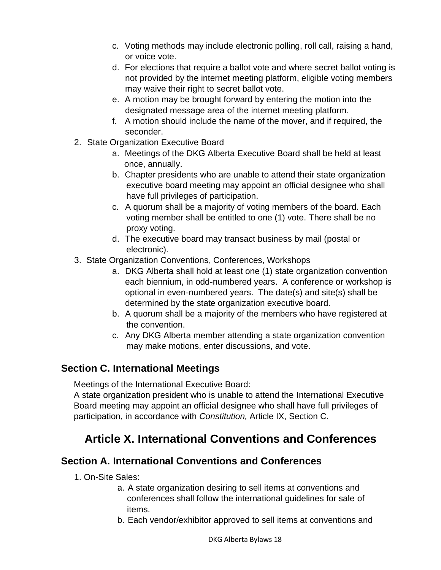- c. Voting methods may include electronic polling, roll call, raising a hand, or voice vote.
- d. For elections that require a ballot vote and where secret ballot voting is not provided by the internet meeting platform, eligible voting members may waive their right to secret ballot vote.
- e. A motion may be brought forward by entering the motion into the designated message area of the internet meeting platform.
- f. A motion should include the name of the mover, and if required, the seconder.
- 2. State Organization Executive Board
	- a. Meetings of the DKG Alberta Executive Board shall be held at least once, annually.
	- b. Chapter presidents who are unable to attend their state organization executive board meeting may appoint an official designee who shall have full privileges of participation.
	- c. A quorum shall be a majority of voting members of the board. Each voting member shall be entitled to one (1) vote. There shall be no proxy voting.
	- d. The executive board may transact business by mail (postal or electronic).
- 3. State Organization Conventions, Conferences, Workshops
	- a. DKG Alberta shall hold at least one (1) state organization convention each biennium, in odd-numbered years. A conference or workshop is optional in even-numbered years. The date(s) and site(s) shall be determined by the state organization executive board.
	- b. A quorum shall be a majority of the members who have registered at the convention.
	- c. Any DKG Alberta member attending a state organization convention may make motions, enter discussions, and vote.

#### <span id="page-18-0"></span>**Section C. International Meetings**

Meetings of the International Executive Board:

A state organization president who is unable to attend the International Executive Board meeting may appoint an official designee who shall have full privileges of participation, in accordance with *Constitution,* Article IX, Section C*.*

## <span id="page-18-1"></span>**Article X. International Conventions and Conferences**

#### <span id="page-18-2"></span>**Section A. International Conventions and Conferences**

- 1. On-Site Sales:
	- a. A state organization desiring to sell items at conventions and conferences shall follow the international guidelines for sale of items.
	- b. Each vendor/exhibitor approved to sell items at conventions and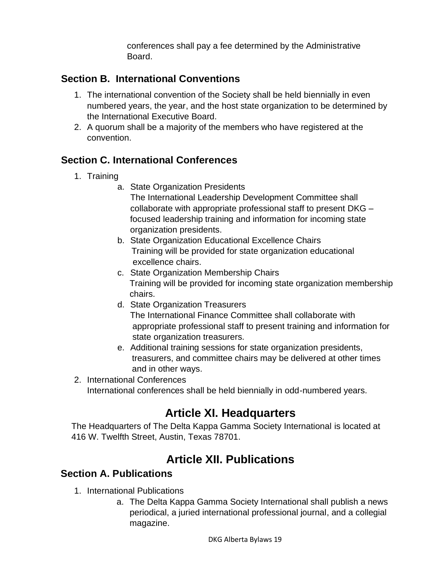conferences shall pay a fee determined by the Administrative Board.

#### <span id="page-19-0"></span>**Section B. International Conventions**

- 1. The international convention of the Society shall be held biennially in even numbered years, the year, and the host state organization to be determined by the International Executive Board.
- 2. A quorum shall be a majority of the members who have registered at the convention.

#### <span id="page-19-1"></span>**Section C. International Conferences**

- 1. Training
	- a. State Organization Presidents

The International Leadership Development Committee shall collaborate with appropriate professional staff to present DKG – focused leadership training and information for incoming state organization presidents.

- b. State Organization Educational Excellence Chairs Training will be provided for state organization educational excellence chairs.
- c. State Organization Membership Chairs Training will be provided for incoming state organization membership chairs.
- d. State Organization Treasurers The International Finance Committee shall collaborate with appropriate professional staff to present training and information for state organization treasurers.
- e. Additional training sessions for state organization presidents, treasurers, and committee chairs may be delivered at other times and in other ways.
- <span id="page-19-2"></span>2. International Conferences International conferences shall be held biennially in odd-numbered years.

## **Article XI. Headquarters**

<span id="page-19-3"></span>The Headquarters of The Delta Kappa Gamma Society International is located at 416 W. Twelfth Street, Austin, Texas 78701.

## **Article XII. Publications**

#### **Section A. Publications**

- 1. International Publications
	- a. The Delta Kappa Gamma Society International shall publish a news periodical, a juried international professional journal, and a collegial magazine.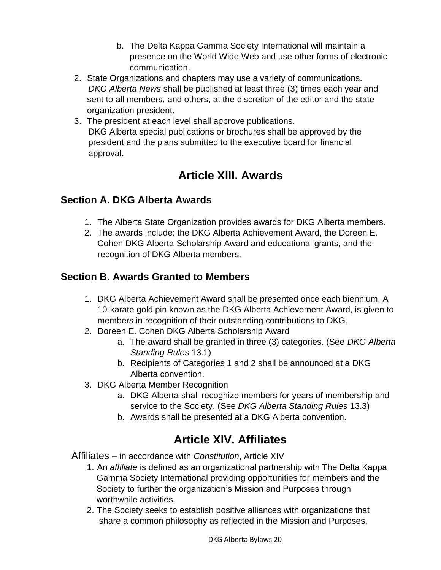- b. The Delta Kappa Gamma Society International will maintain a presence on the World Wide Web and use other forms of electronic communication.
- 2. State Organizations and chapters may use a variety of communications. *DKG Alberta News* shall be published at least three (3) times each year and sent to all members, and others, at the discretion of the editor and the state organization president.
- 3. The president at each level shall approve publications. DKG Alberta special publications or brochures shall be approved by the president and the plans submitted to the executive board for financial approval.

## **Article XIII. Awards**

#### <span id="page-20-0"></span>**Section A. DKG Alberta Awards**

- 1. The Alberta State Organization provides awards for DKG Alberta members.
- 2. The awards include: the DKG Alberta Achievement Award, the Doreen E. Cohen DKG Alberta Scholarship Award and educational grants, and the recognition of DKG Alberta members.

### **Section B. Awards Granted to Members**

- 1. DKG Alberta Achievement Award shall be presented once each biennium. A 10-karate gold pin known as the DKG Alberta Achievement Award, is given to members in recognition of their outstanding contributions to DKG.
- 2. Doreen E. Cohen DKG Alberta Scholarship Award
	- a. The award shall be granted in three (3) categories. (See *DKG Alberta Standing Rules* 13.1)
	- b. Recipients of Categories 1 and 2 shall be announced at a DKG Alberta convention.
- 3. DKG Alberta Member Recognition
	- a. DKG Alberta shall recognize members for years of membership and service to the Society. (See *DKG Alberta Standing Rules* 13.3)
	- b. Awards shall be presented at a DKG Alberta convention.

## **Article XIV. Affiliates**

<span id="page-20-1"></span>Affiliates – in accordance with *Constitution*, Article XIV

- 1. An *affiliate* is defined as an organizational partnership with The Delta Kappa Gamma Society International providing opportunities for members and the Society to further the organization's Mission and Purposes through worthwhile activities.
- 2. The Society seeks to establish positive alliances with organizations that share a common philosophy as reflected in the Mission and Purposes.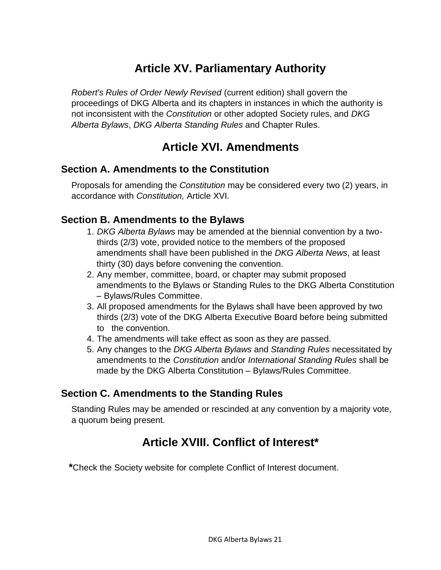## **Article XV. Parliamentary Authority**

<span id="page-21-0"></span>*Robert's Rules of Order Newly Revised* (current edition) shall govern the proceedings of DKG Alberta and its chapters in instances in which the authority is not inconsistent with the *Constitution* or other adopted Society rules, and *DKG Alberta Bylaws*, *DKG Alberta Standing Rules* and Chapter Rules.

### **Article XVI. Amendments**

#### <span id="page-21-2"></span><span id="page-21-1"></span>**Section A. Amendments to the Constitution**

Proposals for amending the *Constitution* may be considered every two (2) years, in accordance with *Constitution,* Article XVI*.*

#### <span id="page-21-3"></span>**Section B. Amendments to the Bylaws**

- 1. *DKG Alberta Bylaws* may be amended at the biennial convention by a two thirds (2/3) vote, provided notice to the members of the proposed amendments shall have been published in the *DKG Alberta News*, at least thirty (30) days before convening the convention.
- 2. Any member, committee, board, or chapter may submit proposed amendments to the Bylaws or Standing Rules to the DKG Alberta Constitution – Bylaws/Rules Committee.
- 3. All proposed amendments for the Bylaws shall have been approved by two thirds (2/3) vote of the DKG Alberta Executive Board before being submitted to the convention.
- 4. The amendments will take effect as soon as they are passed.
- 5. Any changes to the *DKG Alberta Bylaws* and *Standing Rules* necessitated by amendments to the *Constitution* and/or *International Standing Rules* shall be made by the DKG Alberta Constitution – Bylaws/Rules Committee.

#### <span id="page-21-4"></span>**Section C. Amendments to the Standing Rules**

<span id="page-21-5"></span>Standing Rules may be amended or rescinded at any convention by a majority vote, a quorum being present.

## **Article XVIII. Conflict of Interest\***

**\***Check the Society website for complete Conflict of Interest document.